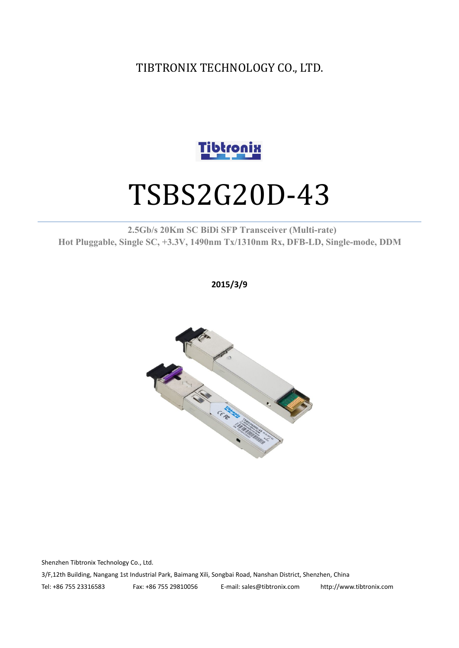TIBTRONIX TECHNOLOGY CO., LTD.



# TSBS2G20D-43

#### **2.5Gb/s 20Km SC BiDi SFP Transceiver (Multi-rate) Hot Pluggable, Single SC, +3.3V, 1490nm Tx/1310nm Rx, DFB-LD,Single-mode, DDM**

**2015/3/9**



Shenzhen Tibtronix Technology Co., Ltd. 3/F,12th Building, Nangang 1st Industrial Park, Baimang Xili, Songbai Road, Nanshan District, Shenzhen, China Tel: +86 755 23316583 Fax: +86 755 29810056 E-mail: sales@tibtronix.com http://www.tibtronix.com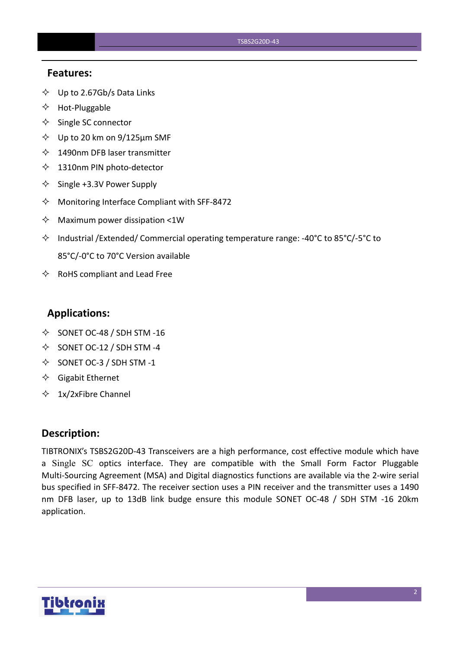#### **Features:**

- $\diamondsuit$  Up to 2.67Gb/s Data Links
- $\Leftrightarrow$  Hot-Pluggable
- $\Leftrightarrow$  Single SC connector
- $\diamond$  Up to 20 km on 9/125 µm SMF
- $\lozenge$  1490nm DFB laser transmitter
- $\lozenge$  1310nm PIN photo-detector
- $\diamond$  Single +3.3V Power Supply
- $\Diamond$  Monitoring Interface Compliant with SFF-8472
- $\Diamond$  Maximum power dissipation <1W
- Industrial /Extended/ Commercial operating temperature range: -40°C to 85°C/-5°C to 85°C/-0°C to 70°C Version available
- $\Leftrightarrow$  RoHS compliant and Lead Free

#### **Applications:**

- $\diamond$  SONET OC-48 / SDH STM -16
- $\diamond$  SONET OC-12 / SDH STM -4
- $\diamond$  SONET OC-3 / SDH STM -1
- $\Diamond$  Gigabit Ethernet
- $\div$  1x/2xFibre Channel

#### **Description:**

TIBTRONIX's TSBS2G20D-43 Transceivers are a high performance, cost effective module which have a Single SC optics interface. They are compatible with the Small Form Factor Pluggable Multi-Sourcing Agreement (MSA) and Digital diagnostics functions are available via the 2-wire serial bus specified in SFF-8472. The receiver section uses a PIN receiver and the transmitter uses a 1490 nm DFB laser, up to 13dB link budge ensure this module SONET OC-48 / SDH STM -16 20km application.

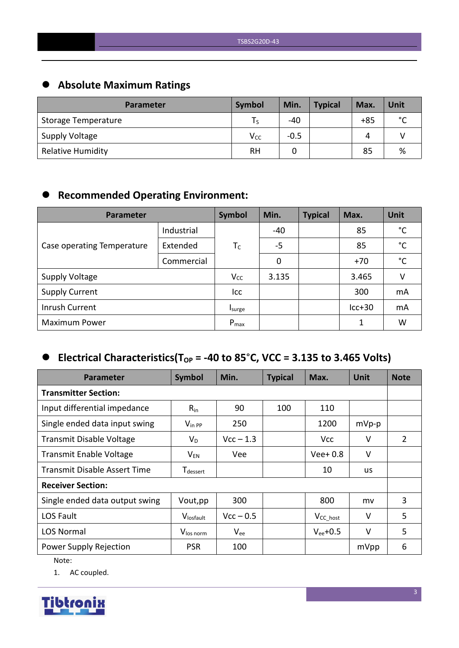# **Absolute Maximum Ratings**

| <b>Parameter</b>         | <b>Symbol</b>   | Min.   | <b>Typical</b> | Max.  | Unit        |
|--------------------------|-----------------|--------|----------------|-------|-------------|
| Storage Temperature      |                 | $-40$  |                | $+85$ | $\sim$<br>◡ |
| <b>Supply Voltage</b>    | V <sub>cc</sub> | $-0.5$ |                | Δ     |             |
| <b>Relative Humidity</b> | <b>RH</b>       |        |                | 85    | %           |

# **Recommended Operating Environment:**

| Parameter                  | Symbol     | Min.      | <b>Typical</b> | Max. | <b>Unit</b> |              |
|----------------------------|------------|-----------|----------------|------|-------------|--------------|
|                            | Industrial |           | -40            |      | 85          | $^{\circ}$ C |
| Case operating Temperature | Extended   | $T_C$     | $-5$           |      | 85          | $^{\circ}$ C |
|                            | Commercial |           | 0              |      | $+70$       | $^{\circ}$ C |
| <b>Supply Voltage</b>      |            | $V_{CC}$  | 3.135          |      | 3.465       | V            |
| <b>Supply Current</b>      |            | Icc       |                |      | 300         | mA           |
| Inrush Current             |            | Isurge    |                |      | $lcc+30$    | mA           |
| <b>Maximum Power</b>       |            | $P_{max}$ |                |      | 1           | W            |

# $\bullet$  Electrical Characteristics(T<sub>OP</sub> = -40 to 85°C, VCC = 3.135 to 3.465 Volts)

| <b>Parameter</b>                    | Symbol                      | Min.        | <b>Typical</b> | Max.           | <b>Unit</b> | <b>Note</b> |
|-------------------------------------|-----------------------------|-------------|----------------|----------------|-------------|-------------|
| <b>Transmitter Section:</b>         |                             |             |                |                |             |             |
| Input differential impedance        | $R_{in}$                    | 90          | 100            | 110            |             |             |
| Single ended data input swing       | $V_{\text{in PP}}$          | 250         |                | 1200           | $mVp-p$     |             |
| <b>Transmit Disable Voltage</b>     | $V_D$                       | $Vcc - 1.3$ |                | <b>Vcc</b>     | V           | 2           |
| <b>Transmit Enable Voltage</b>      | $V_{EN}$                    | Vee         |                | $Vee+0.8$      | $\vee$      |             |
| <b>Transmit Disable Assert Time</b> | <b>T</b> <sub>dessert</sub> |             |                | 10             | us          |             |
| <b>Receiver Section:</b>            |                             |             |                |                |             |             |
| Single ended data output swing      | Vout, pp                    | 300         |                | 800            | mv          | 3           |
| LOS Fault                           | Vlosfault                   | $Vcc - 0.5$ |                | $V_{CC\_host}$ | $\vee$      | 5           |
| <b>LOS Normal</b>                   | V <sub>los norm</sub>       | $V_{ee}$    |                | $V_{ee}$ +0.5  | $\vee$      | 5           |
| Power Supply Rejection              | <b>PSR</b>                  | 100         |                |                | mVpp        | 6           |

Note:

1. AC coupled.

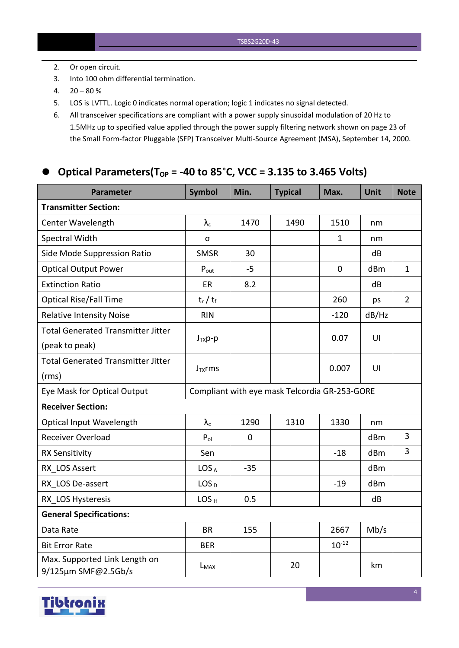- 2. Or open circuit.
- 3. Into 100 ohm differential termination.
- $4. \quad 20 80 \%$
- 5. LOS is LVTTL. Logic 0 indicates normal operation; logic 1 indicates no signal detected.
- 6. All transceiver specifications are compliant with a power supply sinusoidal modulation of 20 Hz to 1.5MHz up to specified value applied through the powersupply filtering network shown on page 23 of the Small Form-factor Pluggable (SFP) Transceiver Multi-Source Agreement (MSA), September 14, 2000.

## $\bullet$  **Optical Parameters(T**<sub>OP</sub> = -40 to 85°C, VCC = 3.135 to 3.465 Volts)

| Parameter                                            | Symbol           | Min.      | <b>Typical</b>                                | Max.         | Unit  | <b>Note</b>    |
|------------------------------------------------------|------------------|-----------|-----------------------------------------------|--------------|-------|----------------|
| <b>Transmitter Section:</b>                          |                  |           |                                               |              |       |                |
| Center Wavelength                                    | $\lambda_c$      | 1470      | 1490                                          | 1510         | nm    |                |
| Spectral Width                                       | σ                |           |                                               | $\mathbf{1}$ | nm    |                |
| Side Mode Suppression Ratio                          | <b>SMSR</b>      | 30        |                                               |              | dB    |                |
| <b>Optical Output Power</b>                          | $P_{\text{out}}$ | $-5$      |                                               | $\mathbf 0$  | dBm   | $\mathbf{1}$   |
| <b>Extinction Ratio</b>                              | ER               | 8.2       |                                               |              | dB    |                |
| <b>Optical Rise/Fall Time</b>                        | $t_r / t_f$      |           |                                               | 260          | ps    | $\overline{2}$ |
| <b>Relative Intensity Noise</b>                      | <b>RIN</b>       |           |                                               | $-120$       | dB/Hz |                |
| <b>Total Generated Transmitter Jitter</b>            |                  |           |                                               |              |       |                |
| (peak to peak)                                       | $J_{TX}p-p$      |           |                                               | 0.07         | UI    |                |
| <b>Total Generated Transmitter Jitter</b>            |                  |           |                                               |              | U     |                |
| (rms)                                                | $J_{TX}$ rms     |           |                                               | 0.007        |       |                |
| Eye Mask for Optical Output                          |                  |           | Compliant with eye mask Telcordia GR-253-GORE |              |       |                |
| <b>Receiver Section:</b>                             |                  |           |                                               |              |       |                |
| Optical Input Wavelength                             | $\lambda_c$      | 1290      | 1310                                          | 1330         | nm    |                |
| Receiver Overload                                    | $P_{ol}$         | $\pmb{0}$ |                                               |              | dBm   | $\overline{3}$ |
| <b>RX Sensitivity</b>                                | Sen              |           |                                               | $-18$        | dBm   | $\overline{3}$ |
| RX LOS Assert                                        | LOS <sub>A</sub> | $-35$     |                                               |              | dBm   |                |
| RX LOS De-assert                                     | LOS <sub>D</sub> |           |                                               | $-19$        | dBm   |                |
| RX LOS Hysteresis                                    | LOS <sub>H</sub> | 0.5       |                                               |              | dB    |                |
| <b>General Specifications:</b>                       |                  |           |                                               |              |       |                |
| Data Rate                                            | <b>BR</b>        | 155       |                                               | 2667         | Mb/s  |                |
| <b>Bit Error Rate</b>                                | <b>BER</b>       |           |                                               | $10^{-12}$   |       |                |
| Max. Supported Link Length on<br>9/125µm SMF@2.5Gb/s | L <sub>MAX</sub> |           | 20                                            |              | km    |                |

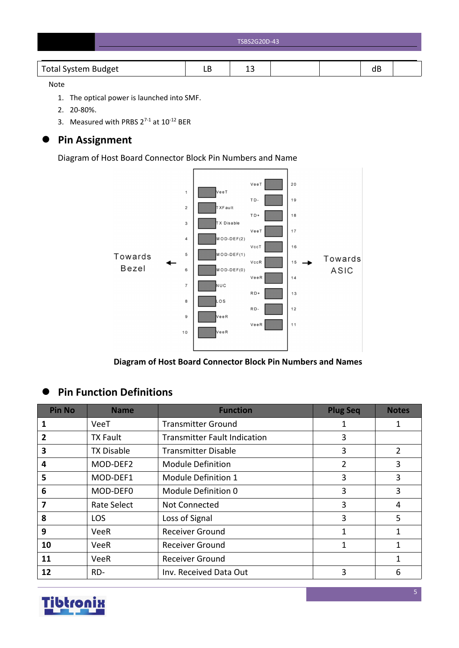| TSBS2G20D-43 |
|--------------|
|              |

#### Note

- 1. The optical power is launched into SMF.
- 2. 20-80%.
- 3. Measured with PRBS  $2^{7-1}$  at  $10^{-12}$  BER

## **Pin Assignment**

Diagram of Host Board Connector Block Pin Numbers and Name



**Diagram of Host Board Connector Block Pin Numbers and Names**

## **Pin Function Definitions**

| <b>Pin No</b> | <b>Name</b>       | <b>Function</b>                     | <b>Plug Seq</b> | <b>Notes</b> |
|---------------|-------------------|-------------------------------------|-----------------|--------------|
| 1             | VeeT              | <b>Transmitter Ground</b>           | 1               | 1            |
| $\mathbf{2}$  | <b>TX Fault</b>   | <b>Transmitter Fault Indication</b> | 3               |              |
| 3             | <b>TX Disable</b> | <b>Transmitter Disable</b>          | 3               | 2            |
| 4             | MOD-DEF2          | <b>Module Definition</b>            | $\overline{2}$  | 3            |
| 5             | MOD-DEF1          | Module Definition 1                 | 3               | 3            |
| 6             | MOD-DEF0          | Module Definition 0                 | 3               | 3            |
| 7             | Rate Select       | Not Connected                       | 3               | 4            |
| 8             | <b>LOS</b>        | Loss of Signal                      | 3               | 5            |
| 9             | <b>VeeR</b>       | <b>Receiver Ground</b>              | 1               | 1            |
| 10            | <b>VeeR</b>       | <b>Receiver Ground</b>              | 1               | $\mathbf{1}$ |
| 11            | VeeR              | <b>Receiver Ground</b>              |                 |              |
| 12            | RD-               | Inv. Received Data Out              | 3               | 6            |

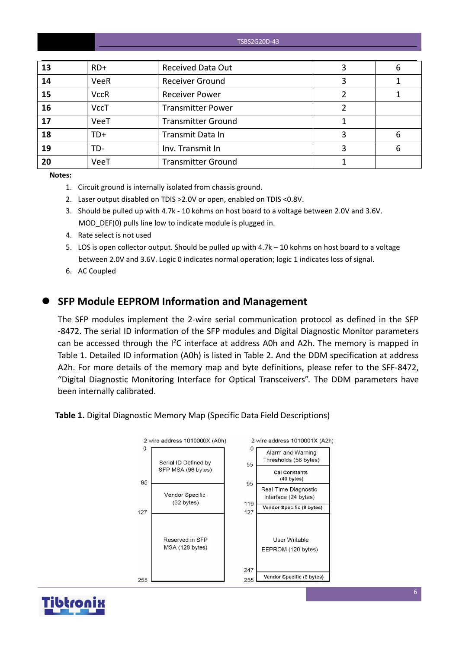| 13 | $RD+$       | <b>Received Data Out</b>  | 6 |
|----|-------------|---------------------------|---|
| 14 | VeeR        | <b>Receiver Ground</b>    |   |
| 15 | <b>VccR</b> | <b>Receiver Power</b>     |   |
| 16 | <b>VccT</b> | <b>Transmitter Power</b>  |   |
| 17 | VeeT        | <b>Transmitter Ground</b> |   |
| 18 | $TD+$       | Transmit Data In          | 6 |
| 19 | TD-         | Inv. Transmit In          | 6 |
| 20 | VeeT        | <b>Transmitter Ground</b> |   |

**Notes:**

- 1. Circuit ground is internally isolated from chassis ground.
- 2. Laser output disabled on TDIS >2.0V or open, enabled on TDIS <0.8V.
- 3. Should be pulled up with 4.7k 10 kohms on host board to a voltage between 2.0V and 3.6V. MOD DEF(0) pulls line low to indicate module is plugged in.
- 4. Rate select is not used
- 5. LOS is open collector output. Should be pulled up with 4.7k 10 kohms on host board to a voltage between 2.0V and 3.6V. Logic 0 indicates normal operation; logic 1 indicates loss of signal.
- 6. AC Coupled

#### **SFP Module EEPROM Information and Management**

The SFP modules implement the 2-wire serial communication protocol as defined in the SFP -8472. The serial ID information of the SFP modules and Digital Diagnostic Monitor parameters can be accessed through the  $I^2C$  interface at address A0h and A2h. The memory is mapped in Table 1. Detailed ID information (A0h) is listed in Table 2. And the DDM specification at address A2h. For more details of the memory map and byte definitions, please refer to the SFF-8472, "Digital Diagnostic Monitoring Interface for Optical Transceivers". The DDM parameters have been internally calibrated.

**Table 1.** Digital Diagnostic Memory Map (Specific Data Field Descriptions)



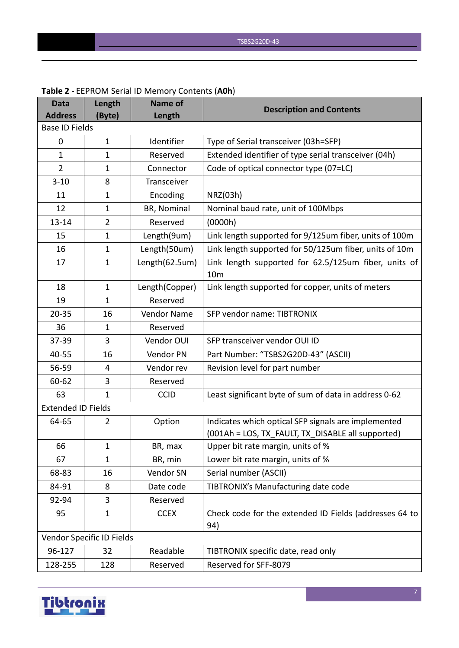| <b>Data</b><br><b>Address</b> | Length<br>(Byte)          | <b>Name of</b><br>Length | <b>Description and Contents</b>                                                                          |
|-------------------------------|---------------------------|--------------------------|----------------------------------------------------------------------------------------------------------|
| <b>Base ID Fields</b>         |                           |                          |                                                                                                          |
| $\mathbf 0$                   | $\mathbf{1}$              | Identifier               | Type of Serial transceiver (03h=SFP)                                                                     |
| $\mathbf{1}$                  | $\mathbf{1}$              | Reserved                 | Extended identifier of type serial transceiver (04h)                                                     |
| $\overline{2}$                | $\mathbf 1$               | Connector                | Code of optical connector type (07=LC)                                                                   |
| $3 - 10$                      | 8                         | Transceiver              |                                                                                                          |
| 11                            | $\mathbf 1$               | Encoding                 | NRZ(03h)                                                                                                 |
| 12                            | $\mathbf{1}$              | BR, Nominal              | Nominal baud rate, unit of 100Mbps                                                                       |
| $13 - 14$                     | $\overline{2}$            | Reserved                 | (0000h)                                                                                                  |
| 15                            | $\mathbf{1}$              | Length(9um)              | Link length supported for 9/125um fiber, units of 100m                                                   |
| 16                            | $\mathbf{1}$              | Length(50um)             | Link length supported for 50/125um fiber, units of 10m                                                   |
| 17                            | $\mathbf 1$               | Length(62.5um)           | Link length supported for 62.5/125um fiber, units of<br>10 <sub>m</sub>                                  |
| 18                            | $\mathbf{1}$              | Length(Copper)           | Link length supported for copper, units of meters                                                        |
| 19                            | $\mathbf 1$               | Reserved                 |                                                                                                          |
| $20 - 35$                     | 16                        | Vendor Name              | SFP vendor name: TIBTRONIX                                                                               |
| 36                            | 1                         | Reserved                 |                                                                                                          |
| 37-39                         | 3                         | Vendor OUI               | SFP transceiver vendor OUI ID                                                                            |
| 40-55                         | 16                        | Vendor PN                | Part Number: "TSBS2G20D-43" (ASCII)                                                                      |
| 56-59                         | 4                         | Vendor rev               | Revision level for part number                                                                           |
| 60-62                         | 3                         | Reserved                 |                                                                                                          |
| 63                            | $\mathbf{1}$              | <b>CCID</b>              | Least significant byte of sum of data in address 0-62                                                    |
| <b>Extended ID Fields</b>     |                           |                          |                                                                                                          |
| 64-65                         | 2                         | Option                   | Indicates which optical SFP signals are implemented<br>(001Ah = LOS, TX_FAULT, TX_DISABLE all supported) |
| 66                            | 1                         | BR, max                  | Upper bit rate margin, units of %                                                                        |
| 67                            | $\mathbf{1}$              | BR, min                  | Lower bit rate margin, units of %                                                                        |
| 68-83                         | 16                        | Vendor SN                | Serial number (ASCII)                                                                                    |
| 84-91                         | 8                         | Date code                | TIBTRONIX's Manufacturing date code                                                                      |
| 92-94                         | 3                         | Reserved                 |                                                                                                          |
| 95                            | $\mathbf{1}$              | <b>CCEX</b>              | Check code for the extended ID Fields (addresses 64 to<br>94)                                            |
|                               | Vendor Specific ID Fields |                          |                                                                                                          |
| 96-127                        | 32                        | Readable                 | TIBTRONIX specific date, read only                                                                       |
| 128-255                       | 128                       | Reserved                 | Reserved for SFF-8079                                                                                    |

#### **Table 2** - EEPROM Serial ID Memory Contents (**A0h**)

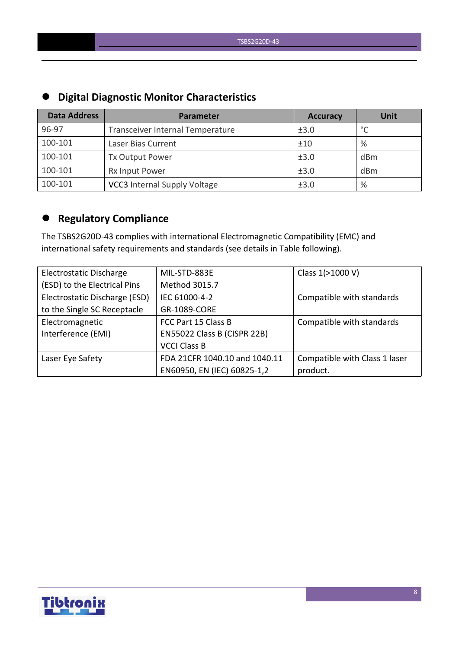| <b>PINISH PIUNISTU INCINOI CHUIUCCI DUCTU</b> |                                     |                 |                 |  |  |  |  |
|-----------------------------------------------|-------------------------------------|-----------------|-----------------|--|--|--|--|
| <b>Data Address</b>                           | Parameter                           | <b>Accuracy</b> | <b>Unit</b>     |  |  |  |  |
| 96-97                                         | Transceiver Internal Temperature    | ±3.0            | $\circ$         |  |  |  |  |
| 100-101                                       | Laser Bias Current                  | ±10             | %               |  |  |  |  |
| 100-101                                       | <b>Tx Output Power</b>              | ±3.0            | dBm             |  |  |  |  |
| 100-101                                       | Rx Input Power                      | ±3.0            | d <sub>Bm</sub> |  |  |  |  |
| 100-101                                       | <b>VCC3</b> Internal Supply Voltage | ±3.0            | %               |  |  |  |  |

# **Digital Diagnostic Monitor Characteristics**

# **Regulatory Compliance**

The TSBS2G20D-43 complies with international Electromagnetic Compatibility (EMC) and international safety requirements and standards (see details in Table following).

| Electrostatic Discharge       | MIL-STD-883E                  | Class 1(>1000 V)              |
|-------------------------------|-------------------------------|-------------------------------|
| (ESD) to the Electrical Pins  | Method 3015.7                 |                               |
| Electrostatic Discharge (ESD) | IEC 61000-4-2                 | Compatible with standards     |
| to the Single SC Receptacle   | GR-1089-CORE                  |                               |
| Electromagnetic               | FCC Part 15 Class B           | Compatible with standards     |
| Interference (EMI)            | EN55022 Class B (CISPR 22B)   |                               |
|                               | <b>VCCI Class B</b>           |                               |
| Laser Eye Safety              | FDA 21CFR 1040.10 and 1040.11 | Compatible with Class 1 laser |
|                               | EN60950, EN (IEC) 60825-1,2   | product.                      |

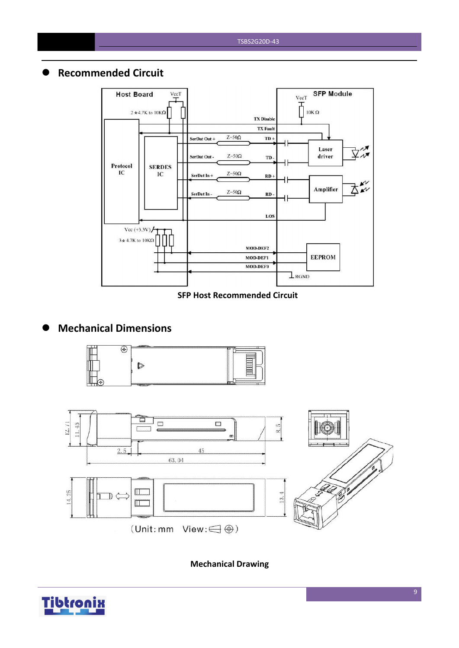#### **Recommended Circuit**



#### **SFP Host Recommended Circuit**

# **Mechanical Dimensions**





**Mechanical Drawing**